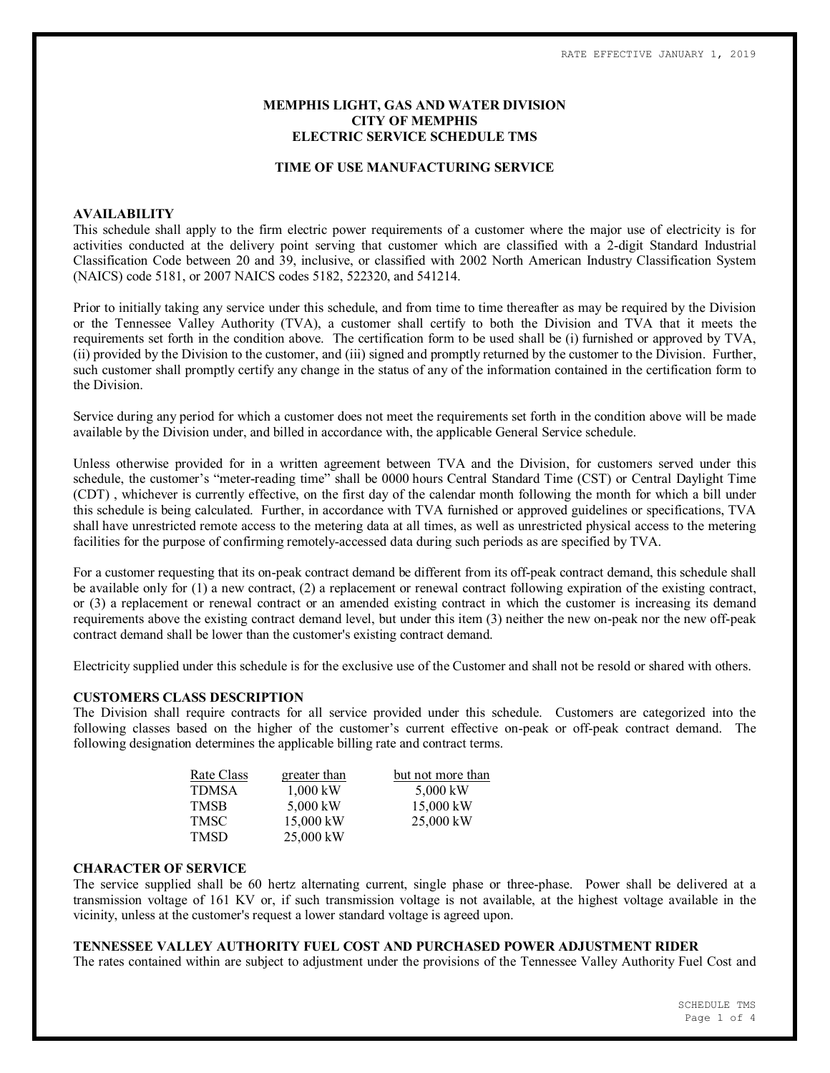# **MEMPHIS LIGHT, GAS AND WATER DIVISION CITY OF MEMPHIS ELECTRIC SERVICE SCHEDULE TMS**

#### **TIME OF USE MANUFACTURING SERVICE**

#### **AVAILABILITY**

This schedule shall apply to the firm electric power requirements of a customer where the major use of electricity is for activities conducted at the delivery point serving that customer which are classified with a 2-digit Standard Industrial Classification Code between 20 and 39, inclusive, or classified with 2002 North American Industry Classification System (NAICS) code 5181, or 2007 NAICS codes 5182, 522320, and 541214.

Prior to initially taking any service under this schedule, and from time to time thereafter as may be required by the Division or the Tennessee Valley Authority (TVA), a customer shall certify to both the Division and TVA that it meets the requirements set forth in the condition above. The certification form to be used shall be (i) furnished or approved by TVA, (ii) provided by the Division to the customer, and (iii) signed and promptly returned by the customer to the Division. Further, such customer shall promptly certify any change in the status of any of the information contained in the certification form to the Division.

Service during any period for which a customer does not meet the requirements set forth in the condition above will be made available by the Division under, and billed in accordance with, the applicable General Service schedule.

Unless otherwise provided for in a written agreement between TVA and the Division, for customers served under this schedule, the customer's "meter-reading time" shall be 0000 hours Central Standard Time (CST) or Central Daylight Time (CDT) , whichever is currently effective, on the first day of the calendar month following the month for which a bill under this schedule is being calculated. Further, in accordance with TVA furnished or approved guidelines or specifications, TVA shall have unrestricted remote access to the metering data at all times, as well as unrestricted physical access to the metering facilities for the purpose of confirming remotely-accessed data during such periods as are specified by TVA.

For a customer requesting that its on-peak contract demand be different from its off-peak contract demand, this schedule shall be available only for (1) a new contract, (2) a replacement or renewal contract following expiration of the existing contract, or (3) a replacement or renewal contract or an amended existing contract in which the customer is increasing its demand requirements above the existing contract demand level, but under this item (3) neither the new on-peak nor the new off-peak contract demand shall be lower than the customer's existing contract demand.

Electricity supplied under this schedule is for the exclusive use of the Customer and shall not be resold or shared with others.

#### **CUSTOMERS CLASS DESCRIPTION**

The Division shall require contracts for all service provided under this schedule. Customers are categorized into the following classes based on the higher of the customer's current effective on-peak or off-peak contract demand. The following designation determines the applicable billing rate and contract terms.

| Rate Class | greater than | but not more than |
|------------|--------------|-------------------|
| TDMSA      | $1,000$ kW   | 5,000 kW          |
| TMSB       | 5,000 kW     | $15,000$ kW       |
| TMSC       | 15,000 kW    | $25,000$ kW       |
| TMSD       | 25,000 kW    |                   |

#### **CHARACTER OF SERVICE**

The service supplied shall be 60 hertz alternating current, single phase or three-phase. Power shall be delivered at a transmission voltage of 161 KV or, if such transmission voltage is not available, at the highest voltage available in the vicinity, unless at the customer's request a lower standard voltage is agreed upon.

# **TENNESSEE VALLEY AUTHORITY FUEL COST AND PURCHASED POWER ADJUSTMENT RIDER**

The rates contained within are subject to adjustment under the provisions of the Tennessee Valley Authority Fuel Cost and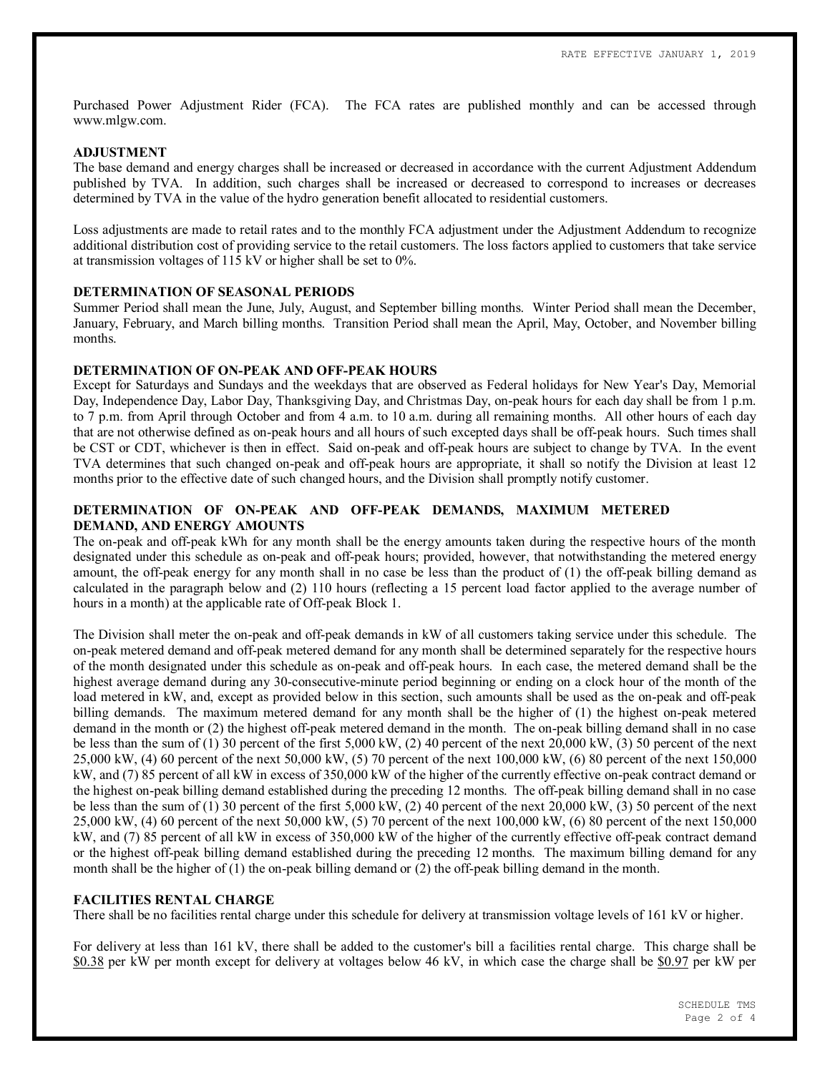Purchased Power Adjustment Rider (FCA). The FCA rates are published monthly and can be accessed through www.mlgw.com.

#### **ADJUSTMENT**

The base demand and energy charges shall be increased or decreased in accordance with the current Adjustment Addendum published by TVA. In addition, such charges shall be increased or decreased to correspond to increases or decreases determined by TVA in the value of the hydro generation benefit allocated to residential customers.

Loss adjustments are made to retail rates and to the monthly FCA adjustment under the Adjustment Addendum to recognize additional distribution cost of providing service to the retail customers. The loss factors applied to customers that take service at transmission voltages of 115 kV or higher shall be set to 0%.

### **DETERMINATION OF SEASONAL PERIODS**

Summer Period shall mean the June, July, August, and September billing months. Winter Period shall mean the December, January, February, and March billing months. Transition Period shall mean the April, May, October, and November billing months.

### **DETERMINATION OF ON-PEAK AND OFF-PEAK HOURS**

Except for Saturdays and Sundays and the weekdays that are observed as Federal holidays for New Year's Day, Memorial Day, Independence Day, Labor Day, Thanksgiving Day, and Christmas Day, on-peak hours for each day shall be from 1 p.m. to 7 p.m. from April through October and from 4 a.m. to 10 a.m. during all remaining months. All other hours of each day that are not otherwise defined as on-peak hours and all hours of such excepted days shall be off-peak hours. Such times shall be CST or CDT, whichever is then in effect. Said on-peak and off-peak hours are subject to change by TVA. In the event TVA determines that such changed on-peak and off-peak hours are appropriate, it shall so notify the Division at least 12 months prior to the effective date of such changed hours, and the Division shall promptly notify customer.

# **DETERMINATION OF ON-PEAK AND OFF-PEAK DEMANDS, MAXIMUM METERED DEMAND, AND ENERGY AMOUNTS**

The on-peak and off-peak kWh for any month shall be the energy amounts taken during the respective hours of the month designated under this schedule as on-peak and off-peak hours; provided, however, that notwithstanding the metered energy amount, the off-peak energy for any month shall in no case be less than the product of (1) the off-peak billing demand as calculated in the paragraph below and (2) 110 hours (reflecting a 15 percent load factor applied to the average number of hours in a month) at the applicable rate of Off-peak Block 1.

The Division shall meter the on-peak and off-peak demands in kW of all customers taking service under this schedule. The on-peak metered demand and off-peak metered demand for any month shall be determined separately for the respective hours of the month designated under this schedule as on-peak and off-peak hours. In each case, the metered demand shall be the highest average demand during any 30-consecutive-minute period beginning or ending on a clock hour of the month of the load metered in kW, and, except as provided below in this section, such amounts shall be used as the on-peak and off-peak billing demands. The maximum metered demand for any month shall be the higher of (1) the highest on-peak metered demand in the month or (2) the highest off-peak metered demand in the month. The on-peak billing demand shall in no case be less than the sum of (1) 30 percent of the first 5,000 kW, (2) 40 percent of the next 20,000 kW, (3) 50 percent of the next 25,000 kW, (4) 60 percent of the next 50,000 kW, (5) 70 percent of the next 100,000 kW, (6) 80 percent of the next 150,000 kW, and (7) 85 percent of all kW in excess of 350,000 kW of the higher of the currently effective on-peak contract demand or the highest on-peak billing demand established during the preceding 12 months. The off-peak billing demand shall in no case be less than the sum of (1) 30 percent of the first 5,000 kW, (2) 40 percent of the next 20,000 kW, (3) 50 percent of the next 25,000 kW, (4) 60 percent of the next 50,000 kW, (5) 70 percent of the next 100,000 kW, (6) 80 percent of the next 150,000 kW, and (7) 85 percent of all kW in excess of 350,000 kW of the higher of the currently effective off-peak contract demand or the highest off-peak billing demand established during the preceding 12 months. The maximum billing demand for any month shall be the higher of (1) the on-peak billing demand or (2) the off-peak billing demand in the month.

### **FACILITIES RENTAL CHARGE**

There shall be no facilities rental charge under this schedule for delivery at transmission voltage levels of 161 kV or higher.

For delivery at less than 161 kV, there shall be added to the customer's bill a facilities rental charge. This charge shall be \$0.38 per kW per month except for delivery at voltages below 46 kV, in which case the charge shall be \$0.97 per kW per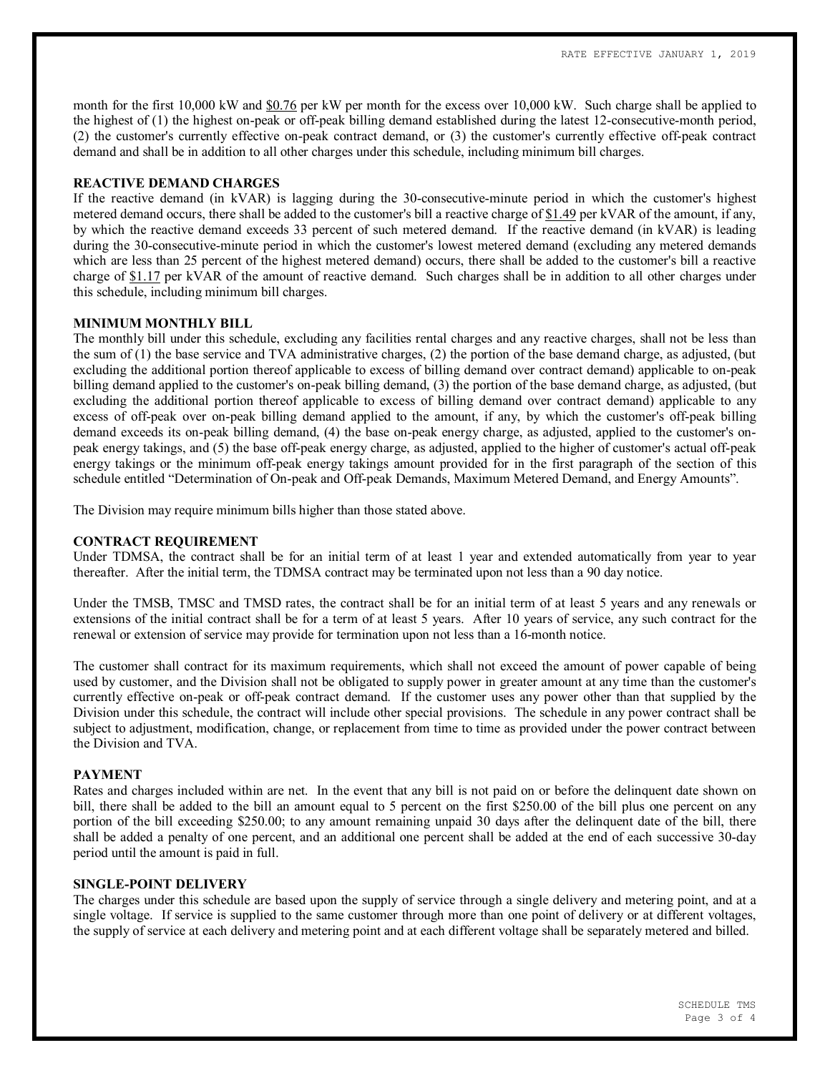month for the first 10,000 kW and \$0.76 per kW per month for the excess over 10,000 kW. Such charge shall be applied to the highest of (1) the highest on-peak or off-peak billing demand established during the latest 12-consecutive-month period, (2) the customer's currently effective on-peak contract demand, or (3) the customer's currently effective off-peak contract demand and shall be in addition to all other charges under this schedule, including minimum bill charges.

# **REACTIVE DEMAND CHARGES**

If the reactive demand (in kVAR) is lagging during the 30-consecutive-minute period in which the customer's highest metered demand occurs, there shall be added to the customer's bill a reactive charge of \$1.49 per kVAR of the amount, if any, by which the reactive demand exceeds 33 percent of such metered demand. If the reactive demand (in kVAR) is leading during the 30-consecutive-minute period in which the customer's lowest metered demand (excluding any metered demands which are less than 25 percent of the highest metered demand) occurs, there shall be added to the customer's bill a reactive charge of \$1.17 per kVAR of the amount of reactive demand. Such charges shall be in addition to all other charges under this schedule, including minimum bill charges.

### **MINIMUM MONTHLY BILL**

The monthly bill under this schedule, excluding any facilities rental charges and any reactive charges, shall not be less than the sum of (1) the base service and TVA administrative charges, (2) the portion of the base demand charge, as adjusted, (but excluding the additional portion thereof applicable to excess of billing demand over contract demand) applicable to on-peak billing demand applied to the customer's on-peak billing demand, (3) the portion of the base demand charge, as adjusted, (but excluding the additional portion thereof applicable to excess of billing demand over contract demand) applicable to any excess of off-peak over on-peak billing demand applied to the amount, if any, by which the customer's off-peak billing demand exceeds its on-peak billing demand, (4) the base on-peak energy charge, as adjusted, applied to the customer's onpeak energy takings, and (5) the base off-peak energy charge, as adjusted, applied to the higher of customer's actual off-peak energy takings or the minimum off-peak energy takings amount provided for in the first paragraph of the section of this schedule entitled "Determination of On-peak and Off-peak Demands, Maximum Metered Demand, and Energy Amounts".

The Division may require minimum bills higher than those stated above.

# **CONTRACT REQUIREMENT**

Under TDMSA, the contract shall be for an initial term of at least 1 year and extended automatically from year to year thereafter. After the initial term, the TDMSA contract may be terminated upon not less than a 90 day notice.

Under the TMSB, TMSC and TMSD rates, the contract shall be for an initial term of at least 5 years and any renewals or extensions of the initial contract shall be for a term of at least 5 years. After 10 years of service, any such contract for the renewal or extension of service may provide for termination upon not less than a 16-month notice.

The customer shall contract for its maximum requirements, which shall not exceed the amount of power capable of being used by customer, and the Division shall not be obligated to supply power in greater amount at any time than the customer's currently effective on-peak or off-peak contract demand. If the customer uses any power other than that supplied by the Division under this schedule, the contract will include other special provisions. The schedule in any power contract shall be subject to adjustment, modification, change, or replacement from time to time as provided under the power contract between the Division and TVA.

#### **PAYMENT**

Rates and charges included within are net. In the event that any bill is not paid on or before the delinquent date shown on bill, there shall be added to the bill an amount equal to 5 percent on the first \$250.00 of the bill plus one percent on any portion of the bill exceeding \$250.00; to any amount remaining unpaid 30 days after the delinquent date of the bill, there shall be added a penalty of one percent, and an additional one percent shall be added at the end of each successive 30-day period until the amount is paid in full.

### **SINGLE-POINT DELIVERY**

The charges under this schedule are based upon the supply of service through a single delivery and metering point, and at a single voltage. If service is supplied to the same customer through more than one point of delivery or at different voltages, the supply of service at each delivery and metering point and at each different voltage shall be separately metered and billed.